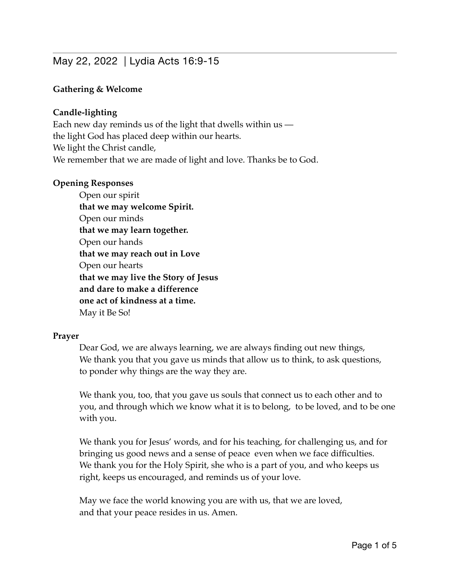# May 22, 2022 | Lydia Acts 16:9-15

## **Gathering & Welcome**

## **Candle-lighting**

Each new day reminds us of the light that dwells within us the light God has placed deep within our hearts. We light the Christ candle, We remember that we are made of light and love. Thanks be to God.

#### **Opening Responses**

Open our spirit **that we may welcome Spirit.**  Open our minds **that we may learn together.** Open our hands **that we may reach out in Love** Open our hearts **that we may live the Story of Jesus and dare to make a difference one act of kindness at a time.**  May it Be So!

## **Prayer**

Dear God, we are always learning, we are always finding out new things, We thank you that you gave us minds that allow us to think, to ask questions, to ponder why things are the way they are.

We thank you, too, that you gave us souls that connect us to each other and to you, and through which we know what it is to belong, to be loved, and to be one with you.

We thank you for Jesus' words, and for his teaching, for challenging us, and for bringing us good news and a sense of peace even when we face difficulties. We thank you for the Holy Spirit, she who is a part of you, and who keeps us right, keeps us encouraged, and reminds us of your love.

May we face the world knowing you are with us, that we are loved, and that your peace resides in us. Amen.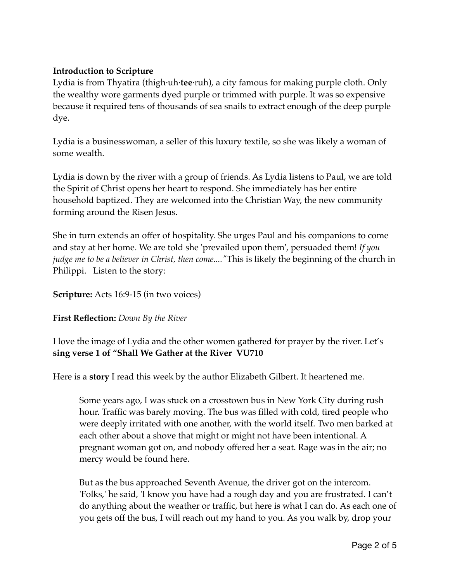# **Introduction to Scripture**

Lydia is from Thyatira (thigh·uh·**tee**·ruh), a city famous for making purple cloth. Only the wealthy wore garments dyed purple or trimmed with purple. It was so expensive because it required tens of thousands of sea snails to extract enough of the deep purple dye.

Lydia is a businesswoman, a seller of this luxury textile, so she was likely a woman of some wealth.

Lydia is down by the river with a group of friends. As Lydia listens to Paul, we are told the Spirit of Christ opens her heart to respond. She immediately has her entire household baptized. They are welcomed into the Christian Way, the new community forming around the Risen Jesus.

She in turn extends an offer of hospitality. She urges Paul and his companions to come and stay at her home. We are told she 'prevailed upon them', persuaded them! *If you judge me to be a believer in Christ, then come...."*This is likely the beginning of the church in Philippi. Listen to the story:

# **Scripture:** Acts 16:9-15 (in two voices)

# **First Reflection:** *Down By the River*

I love the image of Lydia and the other women gathered for prayer by the river. Let's **sing verse 1 of "Shall We Gather at the River VU710**

Here is a **story** I read this week by the author Elizabeth Gilbert. It heartened me.

Some years ago, I was stuck on a crosstown bus in New York City during rush hour. Traffic was barely moving. The bus was filled with cold, tired people who were deeply irritated with one another, with the world itself. Two men barked at each other about a shove that might or might not have been intentional. A pregnant woman got on, and nobody offered her a seat. Rage was in the air; no mercy would be found here.

But as the bus approached Seventh Avenue, the driver got on the intercom. 'Folks,' he said, 'I know you have had a rough day and you are frustrated. I can't do anything about the weather or traffic, but here is what I can do. As each one of you gets off the bus, I will reach out my hand to you. As you walk by, drop your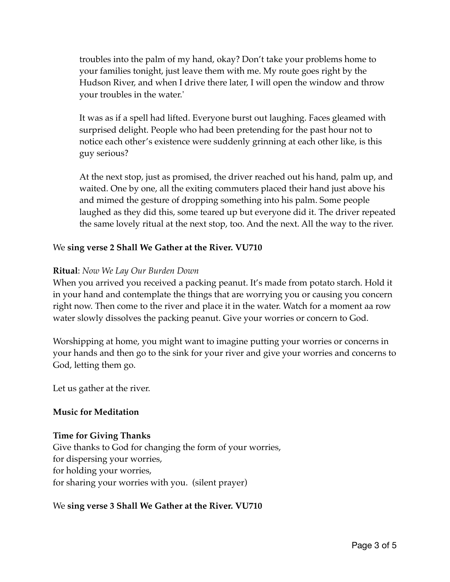troubles into the palm of my hand, okay? Don't take your problems home to your families tonight, just leave them with me. My route goes right by the Hudson River, and when I drive there later, I will open the window and throw your troubles in the water.'

It was as if a spell had lifted. Everyone burst out laughing. Faces gleamed with surprised delight. People who had been pretending for the past hour not to notice each other's existence were suddenly grinning at each other like, is this guy serious?

At the next stop, just as promised, the driver reached out his hand, palm up, and waited. One by one, all the exiting commuters placed their hand just above his and mimed the gesture of dropping something into his palm. Some people laughed as they did this, some teared up but everyone did it. The driver repeated the same lovely ritual at the next stop, too. And the next. All the way to the river.

# We **sing verse 2 Shall We Gather at the River. VU710**

# **Ritual**: *Now We Lay Our Burden Down*

When you arrived you received a packing peanut. It's made from potato starch. Hold it in your hand and contemplate the things that are worrying you or causing you concern right now. Then come to the river and place it in the water. Watch for a moment aa row water slowly dissolves the packing peanut. Give your worries or concern to God.

Worshipping at home, you might want to imagine putting your worries or concerns in your hands and then go to the sink for your river and give your worries and concerns to God, letting them go.

Let us gather at the river.

## **Music for Meditation**

## **Time for Giving Thanks**

Give thanks to God for changing the form of your worries, for dispersing your worries, for holding your worries, for sharing your worries with you. (silent prayer)

# We **sing verse 3 Shall We Gather at the River. VU710**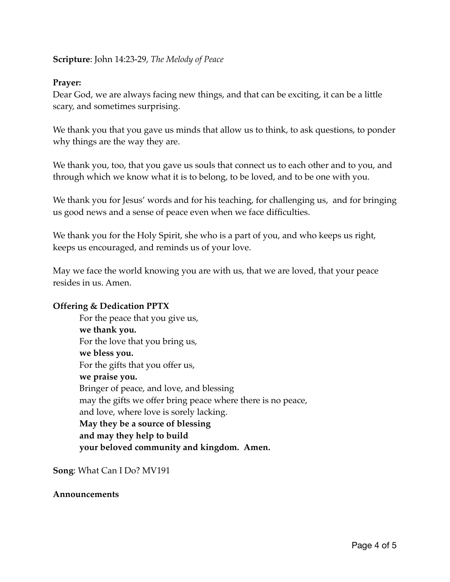## **Scripture**: John 14:23-29, *The Melody of Peace*

# **Prayer:**

Dear God, we are always facing new things, and that can be exciting, it can be a little scary, and sometimes surprising.

We thank you that you gave us minds that allow us to think, to ask questions, to ponder why things are the way they are.

We thank you, too, that you gave us souls that connect us to each other and to you, and through which we know what it is to belong, to be loved, and to be one with you.

We thank you for Jesus' words and for his teaching, for challenging us, and for bringing us good news and a sense of peace even when we face difficulties.

We thank you for the Holy Spirit, she who is a part of you, and who keeps us right, keeps us encouraged, and reminds us of your love.

May we face the world knowing you are with us, that we are loved, that your peace resides in us. Amen.

## **Offering & Dedication PPTX**

For the peace that you give us, **we thank you.** For the love that you bring us, **we bless you.** For the gifts that you offer us, **we praise you.** Bringer of peace, and love, and blessing may the gifts we offer bring peace where there is no peace, and love, where love is sorely lacking. **May they be a source of blessing and may they help to build your beloved community and kingdom. Amen.**

**Song**: What Can I Do? MV191

#### **Announcements**